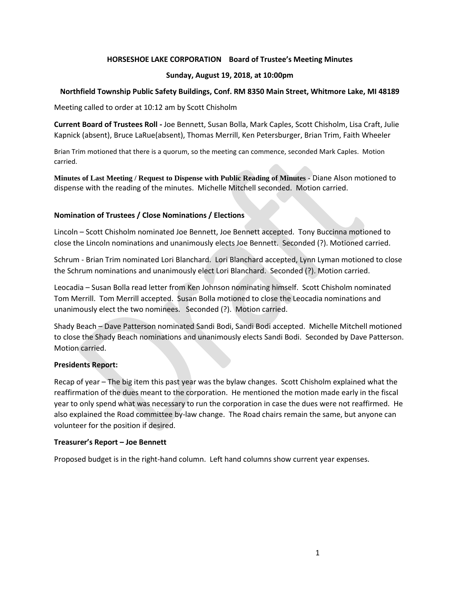### **HORSESHOE LAKE CORPORATION Board of Trustee's Meeting Minutes**

### **Sunday, August 19, 2018, at 10:00pm**

## **Northfield Township Public Safety Buildings, Conf. RM 8350 Main Street, Whitmore Lake, MI 48189**

Meeting called to order at 10:12 am by Scott Chisholm

**Current Board of Trustees Roll -** Joe Bennett, Susan Bolla, Mark Caples, Scott Chisholm, Lisa Craft, Julie Kapnick (absent), Bruce LaRue(absent), Thomas Merrill, Ken Petersburger, Brian Trim, Faith Wheeler

Brian Trim motioned that there is a quorum, so the meeting can commence, seconded Mark Caples. Motion carried.

**Minutes of Last Meeting / Request to Dispense with Public Reading of Minutes -** Diane Alson motioned to dispense with the reading of the minutes. Michelle Mitchell seconded. Motion carried.

## **Nomination of Trustees / Close Nominations / Elections**

Lincoln – Scott Chisholm nominated Joe Bennett, Joe Bennett accepted. Tony Buccinna motioned to close the Lincoln nominations and unanimously elects Joe Bennett. Seconded (?). Motioned carried.

Schrum - Brian Trim nominated Lori Blanchard. Lori Blanchard accepted, Lynn Lyman motioned to close the Schrum nominations and unanimously elect Lori Blanchard. Seconded (?). Motion carried.

Leocadia – Susan Bolla read letter from Ken Johnson nominating himself. Scott Chisholm nominated Tom Merrill. Tom Merrill accepted. Susan Bolla motioned to close the Leocadia nominations and unanimously elect the two nominees. Seconded (?). Motion carried.

Shady Beach – Dave Patterson nominated Sandi Bodi, Sandi Bodi accepted. Michelle Mitchell motioned to close the Shady Beach nominations and unanimously elects Sandi Bodi. Seconded by Dave Patterson. Motion carried.

### **Presidents Report:**

Recap of year – The big item this past year was the bylaw changes. Scott Chisholm explained what the reaffirmation of the dues meant to the corporation. He mentioned the motion made early in the fiscal year to only spend what was necessary to run the corporation in case the dues were not reaffirmed. He also explained the Road committee by-law change. The Road chairs remain the same, but anyone can volunteer for the position if desired.

### **Treasurer's Report – Joe Bennett**

Proposed budget is in the right-hand column. Left hand columns show current year expenses.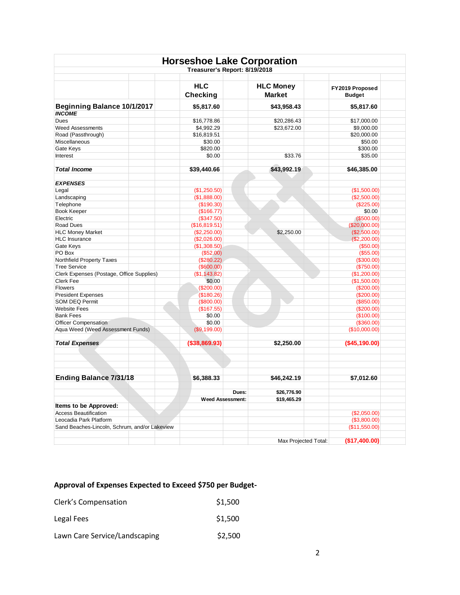| <b>Horseshoe Lake Corporation</b><br>Treasurer's Report: 8/19/2018 |                               |                                   |                                  |  |
|--------------------------------------------------------------------|-------------------------------|-----------------------------------|----------------------------------|--|
|                                                                    | <b>HLC</b><br><b>Checking</b> | <b>HLC Money</b><br><b>Market</b> | FY2019 Proposed<br><b>Budget</b> |  |
| Beginning Balance 10/1/2017                                        | \$5,817.60                    | \$43,958.43                       | \$5,817.60                       |  |
| <b>INCOME</b>                                                      |                               |                                   |                                  |  |
| Dues                                                               | \$16,778.86                   | \$20,286.43                       | \$17,000.00                      |  |
| <b>Weed Assessments</b>                                            | \$4,992.29                    | \$23,672.00                       | \$9,000.00                       |  |
| Road (Passthrough)                                                 | \$16,819.51                   |                                   | \$20,000.00                      |  |
| Miscellaneous                                                      | \$30.00                       |                                   | \$50.00                          |  |
| Gate Keys                                                          | \$820.00                      |                                   | \$300.00                         |  |
| Interest                                                           | \$0.00                        | \$33.76                           | \$35.00                          |  |
| <b>Total Income</b>                                                | \$39,440.66                   | \$43,992.19                       | \$46,385.00                      |  |
| <b>EXPENSES</b>                                                    |                               |                                   |                                  |  |
| Legal                                                              | (\$1,250.50)                  |                                   | (\$1,500.00)                     |  |
| Landscaping                                                        | (\$1,888.00)                  |                                   | (\$2,500.00)                     |  |
| Telephone                                                          | (\$190.30)                    |                                   | (\$225.00)                       |  |
| Book Keeper                                                        | (\$166.77)                    |                                   | \$0.00                           |  |
| Electric                                                           | (\$347.50)                    |                                   | (\$500.00)                       |  |
| Road Dues                                                          | (\$16,819.51)                 |                                   | (\$20,000.00)                    |  |
| <b>HLC Money Market</b>                                            | (\$2,250.00)                  | \$2,250.00                        | (\$2,500.00)                     |  |
| <b>HLC</b> Insurance                                               | (\$2,026.00)                  |                                   | (\$2,200.00)                     |  |
| Gate Keys                                                          | (\$1,308.50)                  |                                   | (\$50.00)                        |  |
| PO Box                                                             | (\$52.00)                     |                                   | (\$55.00)                        |  |
| Northfield Property Taxes                                          | (\$280.22)                    |                                   | (\$300.00)                       |  |
| <b>Tree Service</b>                                                | (\$600.00)                    |                                   | (\$750.00)                       |  |
| Clerk Expenses (Postage, Office Supplies)                          | (\$1,143.82)                  |                                   | (\$1,200.00)                     |  |
| Clerk Fee                                                          | \$0.00                        |                                   | (\$1,500.00)                     |  |
| Flowers                                                            | (\$200.00)                    |                                   | (\$200.00)                       |  |
| <b>President Expenses</b>                                          | (\$180.26)                    |                                   | (\$200.00)                       |  |
| <b>SOM DEQ Permit</b>                                              | (\$800.00)                    |                                   | (\$850.00)                       |  |
| <b>Website Fees</b>                                                | (\$167.55)                    |                                   | (\$200.00)                       |  |
| <b>Bank Fees</b>                                                   | \$0.00                        |                                   | (\$100.00)                       |  |
| Officer Compensation                                               | \$0.00                        |                                   | (\$360.00)                       |  |
| Aqua Weed (Weed Assessment Funds)                                  | (\$9,199.00)                  |                                   | (\$10,000.00)                    |  |
| <b>Total Expenses</b>                                              | ( \$38, 869.93)               | \$2,250.00                        | (\$45,190.00)                    |  |
|                                                                    |                               |                                   |                                  |  |
| <b>Ending Balance 7/31/18</b>                                      | \$6,388.33                    | \$46,242.19                       | \$7,012.60                       |  |
|                                                                    | Dues:                         | \$26,776.90                       |                                  |  |
|                                                                    | <b>Weed Assessment:</b>       | \$19,465.29                       |                                  |  |
| Items to be Approved:                                              |                               |                                   |                                  |  |
| <b>Access Beautification</b>                                       |                               |                                   | (\$2,050.00)                     |  |
| Leocadia Park Platform                                             |                               |                                   | (\$3,800.00)                     |  |
| Sand Beaches-Lincoln, Schrum, and/or Lakeview                      |                               |                                   | (\$11,550.00)                    |  |
|                                                                    |                               | Max Projected Total:              | (\$17,400.00)                    |  |
|                                                                    |                               |                                   |                                  |  |

# **Approval of Expenses Expected to Exceed \$750 per Budget-**

| Clerk's Compensation          | \$1,500 |
|-------------------------------|---------|
| Legal Fees                    | \$1,500 |
| Lawn Care Service/Landscaping | \$2,500 |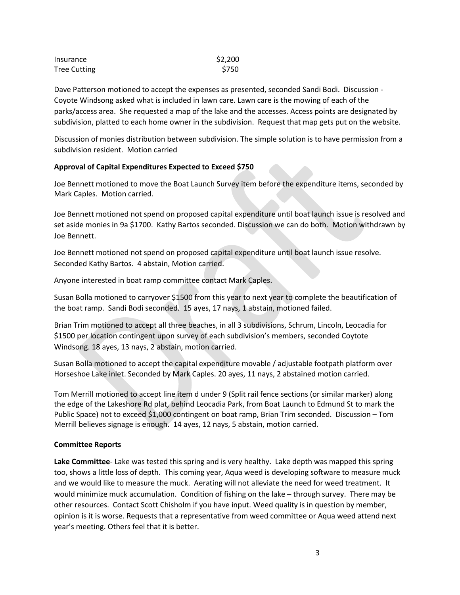| Insurance           | \$2,200 |  |
|---------------------|---------|--|
| <b>Tree Cutting</b> | \$750   |  |

Dave Patterson motioned to accept the expenses as presented, seconded Sandi Bodi. Discussion - Coyote Windsong asked what is included in lawn care. Lawn care is the mowing of each of the parks/access area. She requested a map of the lake and the accesses. Access points are designated by subdivision, platted to each home owner in the subdivision. Request that map gets put on the website.

Discussion of monies distribution between subdivision. The simple solution is to have permission from a subdivision resident. Motion carried

### **Approval of Capital Expenditures Expected to Exceed \$750**

Joe Bennett motioned to move the Boat Launch Survey item before the expenditure items, seconded by Mark Caples. Motion carried.

Joe Bennett motioned not spend on proposed capital expenditure until boat launch issue is resolved and set aside monies in 9a \$1700. Kathy Bartos seconded. Discussion we can do both. Motion withdrawn by Joe Bennett.

Joe Bennett motioned not spend on proposed capital expenditure until boat launch issue resolve. Seconded Kathy Bartos. 4 abstain, Motion carried.

Anyone interested in boat ramp committee contact Mark Caples.

Susan Bolla motioned to carryover \$1500 from this year to next year to complete the beautification of the boat ramp. Sandi Bodi seconded. 15 ayes, 17 nays, 1 abstain, motioned failed.

Brian Trim motioned to accept all three beaches, in all 3 subdivisions, Schrum, Lincoln, Leocadia for \$1500 per location contingent upon survey of each subdivision's members, seconded Coytote Windsong. 18 ayes, 13 nays, 2 abstain, motion carried.

Susan Bolla motioned to accept the capital expenditure movable / adjustable footpath platform over Horseshoe Lake inlet. Seconded by Mark Caples. 20 ayes, 11 nays, 2 abstained motion carried.

Tom Merrill motioned to accept line item d under 9 (Split rail fence sections (or similar marker) along the edge of the Lakeshore Rd plat, behind Leocadia Park, from Boat Launch to Edmund St to mark the Public Space) not to exceed \$1,000 contingent on boat ramp, Brian Trim seconded. Discussion – Tom Merrill believes signage is enough. 14 ayes, 12 nays, 5 abstain, motion carried.

# **Committee Reports**

**Lake Committee**- Lake was tested this spring and is very healthy. Lake depth was mapped this spring too, shows a little loss of depth. This coming year, Aqua weed is developing software to measure muck and we would like to measure the muck. Aerating will not alleviate the need for weed treatment. It would minimize muck accumulation. Condition of fishing on the lake – through survey. There may be other resources. Contact Scott Chisholm if you have input. Weed quality is in question by member, opinion is it is worse. Requests that a representative from weed committee or Aqua weed attend next year's meeting. Others feel that it is better.